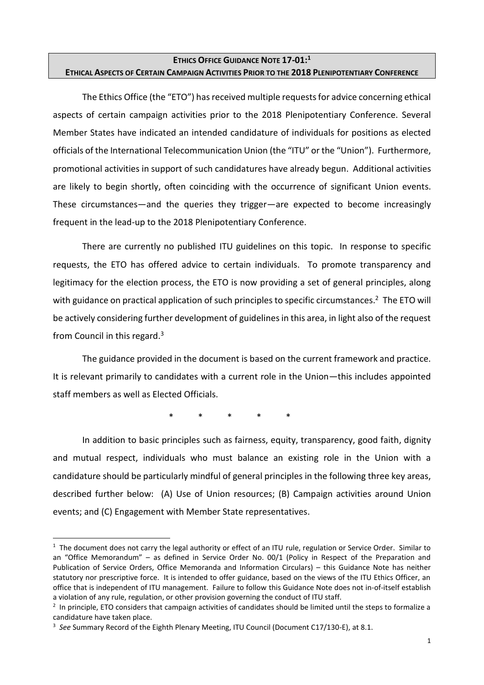# **ETHICS OFFICE GUIDANCE NOTE 17-01: 1 ETHICAL ASPECTS OF CERTAIN CAMPAIGN ACTIVITIES PRIOR TO THE 2018 PLENIPOTENTIARY CONFERENCE**

The Ethics Office (the "ETO") has received multiple requests for advice concerning ethical aspects of certain campaign activities prior to the 2018 Plenipotentiary Conference. Several Member States have indicated an intended candidature of individuals for positions as elected officials of the International Telecommunication Union (the "ITU" or the "Union"). Furthermore, promotional activities in support of such candidatures have already begun. Additional activities are likely to begin shortly, often coinciding with the occurrence of significant Union events. These circumstances—and the queries they trigger—are expected to become increasingly frequent in the lead-up to the 2018 Plenipotentiary Conference.

There are currently no published ITU guidelines on this topic. In response to specific requests, the ETO has offered advice to certain individuals. To promote transparency and legitimacy for the election process, the ETO is now providing a set of general principles, along with guidance on practical application of such principles to specific circumstances.<sup>2</sup> The ETO will be actively considering further development of guidelines in this area, in light also of the request from Council in this regard.<sup>3</sup>

The guidance provided in the document is based on the current framework and practice. It is relevant primarily to candidates with a current role in the Union—this includes appointed staff members as well as Elected Officials.

\* \* \* \* \*

In addition to basic principles such as fairness, equity, transparency, good faith, dignity and mutual respect, individuals who must balance an existing role in the Union with a candidature should be particularly mindful of general principles in the following three key areas, described further below: (A) Use of Union resources; (B) Campaign activities around Union events; and (C) Engagement with Member State representatives.

 $\ddot{\phantom{a}}$ 

<sup>&</sup>lt;sup>1</sup> The document does not carry the legal authority or effect of an ITU rule, regulation or Service Order. Similar to an "Office Memorandum" – as defined in Service Order No. 00/1 (Policy in Respect of the Preparation and Publication of Service Orders, Office Memoranda and Information Circulars) – this Guidance Note has neither statutory nor prescriptive force. It is intended to offer guidance, based on the views of the ITU Ethics Officer, an office that is independent of ITU management. Failure to follow this Guidance Note does not in-of-itself establish a violation of any rule, regulation, or other provision governing the conduct of ITU staff.

<sup>&</sup>lt;sup>2</sup> In principle, ETO considers that campaign activities of candidates should be limited until the steps to formalize a candidature have taken place.

<sup>3</sup> *See* Summary Record of the Eighth Plenary Meeting, ITU Council (Document C17/130-E), at 8.1.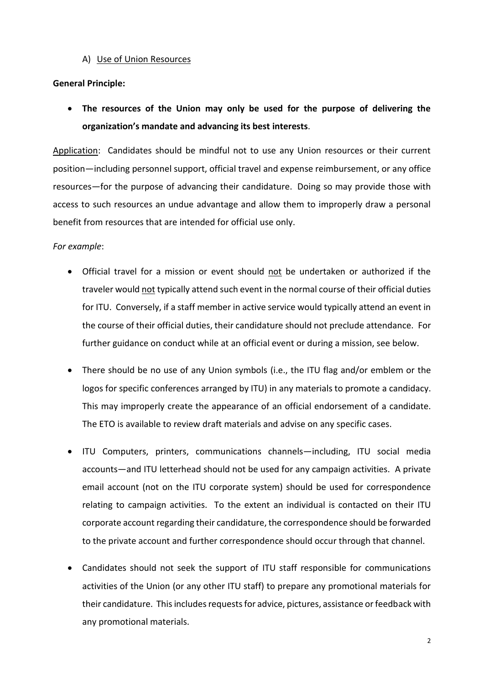A) Use of Union Resources

## **General Principle:**

 **The resources of the Union may only be used for the purpose of delivering the organization's mandate and advancing its best interests**.

Application: Candidates should be mindful not to use any Union resources or their current position—including personnel support, official travel and expense reimbursement, or any office resources—for the purpose of advancing their candidature. Doing so may provide those with access to such resources an undue advantage and allow them to improperly draw a personal benefit from resources that are intended for official use only.

## *For example*:

- Official travel for a mission or event should not be undertaken or authorized if the traveler would not typically attend such event in the normal course of their official duties for ITU. Conversely, if a staff member in active service would typically attend an event in the course of their official duties, their candidature should not preclude attendance. For further guidance on conduct while at an official event or during a mission, see below.
- There should be no use of any Union symbols (i.e., the ITU flag and/or emblem or the logos for specific conferences arranged by ITU) in any materials to promote a candidacy. This may improperly create the appearance of an official endorsement of a candidate. The ETO is available to review draft materials and advise on any specific cases.
- ITU Computers, printers, communications channels—including, ITU social media accounts—and ITU letterhead should not be used for any campaign activities. A private email account (not on the ITU corporate system) should be used for correspondence relating to campaign activities. To the extent an individual is contacted on their ITU corporate account regarding their candidature, the correspondence should be forwarded to the private account and further correspondence should occur through that channel.
- Candidates should not seek the support of ITU staff responsible for communications activities of the Union (or any other ITU staff) to prepare any promotional materials for their candidature. This includes requests for advice, pictures, assistance or feedback with any promotional materials.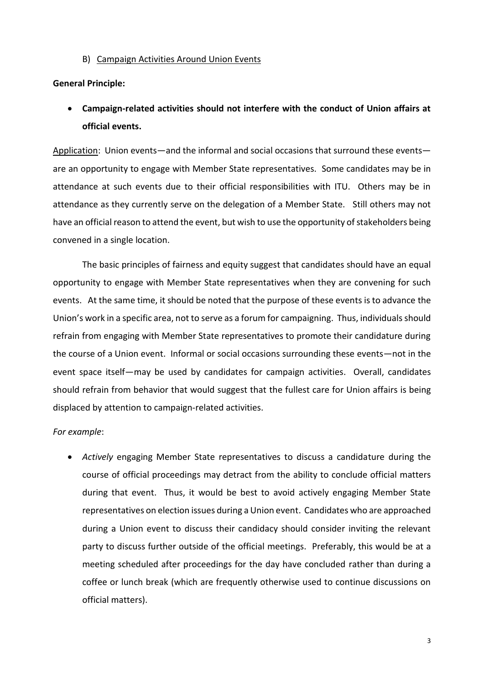B) Campaign Activities Around Union Events

#### **General Principle:**

 **Campaign-related activities should not interfere with the conduct of Union affairs at official events.** 

Application: Union events—and the informal and social occasions that surround these events are an opportunity to engage with Member State representatives. Some candidates may be in attendance at such events due to their official responsibilities with ITU. Others may be in attendance as they currently serve on the delegation of a Member State. Still others may not have an official reason to attend the event, but wish to use the opportunity of stakeholders being convened in a single location.

The basic principles of fairness and equity suggest that candidates should have an equal opportunity to engage with Member State representatives when they are convening for such events. At the same time, it should be noted that the purpose of these events is to advance the Union's work in a specific area, not to serve as a forum for campaigning. Thus, individuals should refrain from engaging with Member State representatives to promote their candidature during the course of a Union event. Informal or social occasions surrounding these events—not in the event space itself—may be used by candidates for campaign activities. Overall, candidates should refrain from behavior that would suggest that the fullest care for Union affairs is being displaced by attention to campaign-related activities.

## *For example*:

 *Actively* engaging Member State representatives to discuss a candidature during the course of official proceedings may detract from the ability to conclude official matters during that event. Thus, it would be best to avoid actively engaging Member State representatives on election issues during a Union event. Candidates who are approached during a Union event to discuss their candidacy should consider inviting the relevant party to discuss further outside of the official meetings. Preferably, this would be at a meeting scheduled after proceedings for the day have concluded rather than during a coffee or lunch break (which are frequently otherwise used to continue discussions on official matters).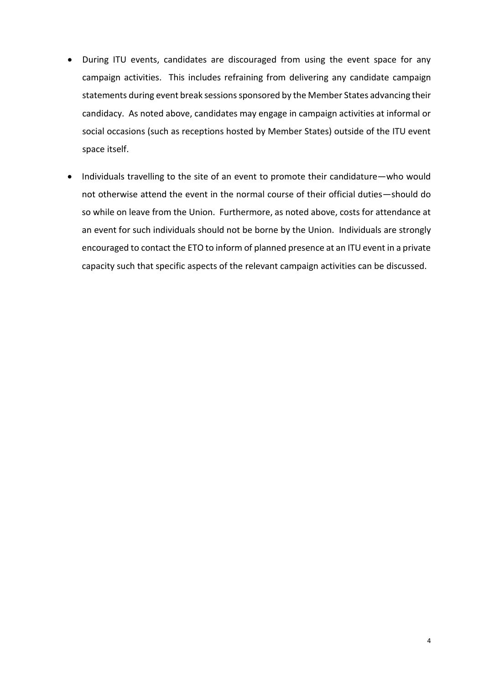- During ITU events, candidates are discouraged from using the event space for any campaign activities. This includes refraining from delivering any candidate campaign statements during event break sessions sponsored by the Member States advancing their candidacy. As noted above, candidates may engage in campaign activities at informal or social occasions (such as receptions hosted by Member States) outside of the ITU event space itself.
- Individuals travelling to the site of an event to promote their candidature—who would not otherwise attend the event in the normal course of their official duties—should do so while on leave from the Union. Furthermore, as noted above, costs for attendance at an event for such individuals should not be borne by the Union. Individuals are strongly encouraged to contact the ETO to inform of planned presence at an ITU event in a private capacity such that specific aspects of the relevant campaign activities can be discussed.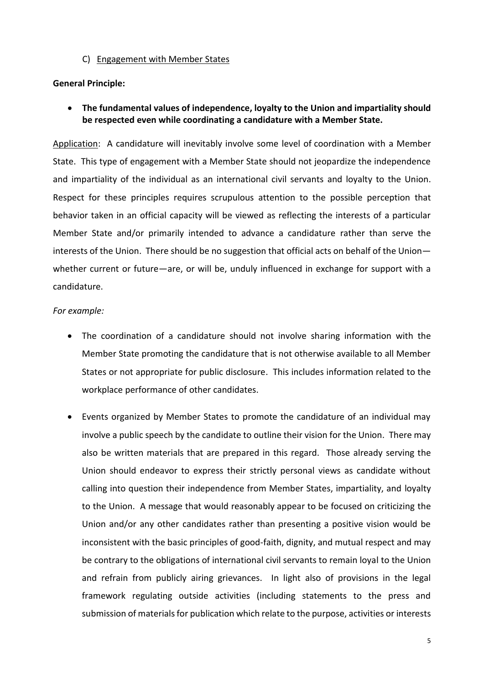### C) Engagement with Member States

## **General Principle:**

 **The fundamental values of independence, loyalty to the Union and impartiality should be respected even while coordinating a candidature with a Member State.** 

Application: A candidature will inevitably involve some level of coordination with a Member State. This type of engagement with a Member State should not jeopardize the independence and impartiality of the individual as an international civil servants and loyalty to the Union. Respect for these principles requires scrupulous attention to the possible perception that behavior taken in an official capacity will be viewed as reflecting the interests of a particular Member State and/or primarily intended to advance a candidature rather than serve the interests of the Union. There should be no suggestion that official acts on behalf of the Union whether current or future—are, or will be, unduly influenced in exchange for support with a candidature.

### *For example:*

- The coordination of a candidature should not involve sharing information with the Member State promoting the candidature that is not otherwise available to all Member States or not appropriate for public disclosure. This includes information related to the workplace performance of other candidates.
- Events organized by Member States to promote the candidature of an individual may involve a public speech by the candidate to outline their vision for the Union. There may also be written materials that are prepared in this regard. Those already serving the Union should endeavor to express their strictly personal views as candidate without calling into question their independence from Member States, impartiality, and loyalty to the Union. A message that would reasonably appear to be focused on criticizing the Union and/or any other candidates rather than presenting a positive vision would be inconsistent with the basic principles of good-faith, dignity, and mutual respect and may be contrary to the obligations of international civil servants to remain loyal to the Union and refrain from publicly airing grievances. In light also of provisions in the legal framework regulating outside activities (including statements to the press and submission of materials for publication which relate to the purpose, activities or interests